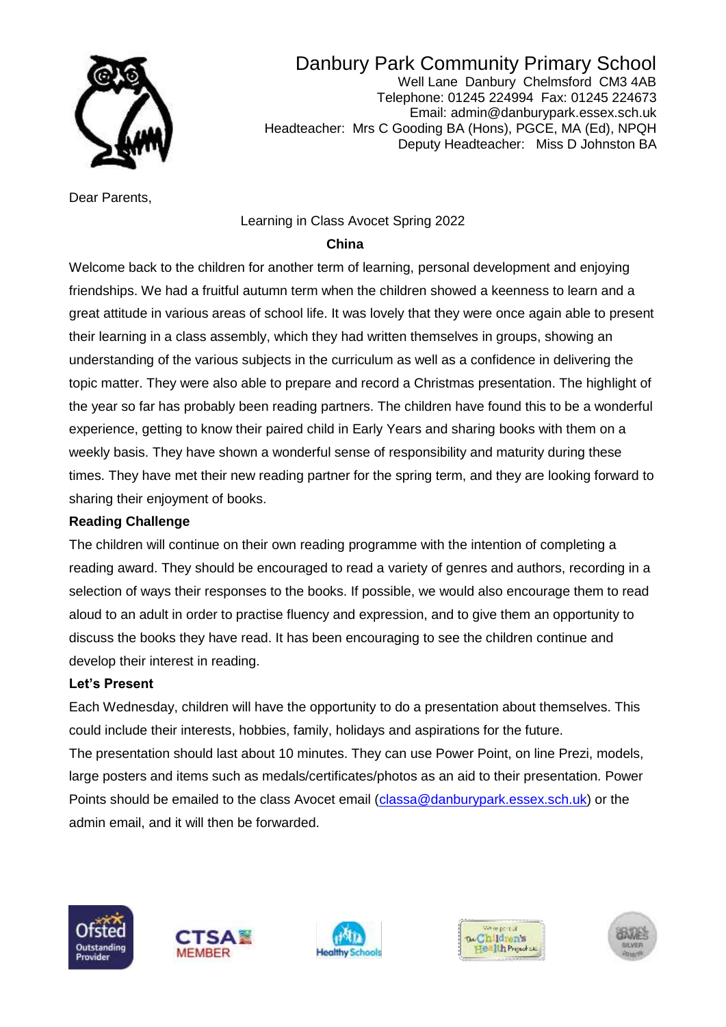

Danbury Park Community Primary School Well Lane Danbury Chelmsford CM3 4AB Telephone: 01245 224994 Fax: 01245 224673 Email: admin@danburypark.essex.sch.uk Headteacher: Mrs C Gooding BA (Hons), PGCE, MA (Ed), NPQH Deputy Headteacher: Miss D Johnston BA

Dear Parents,

#### Learning in Class Avocet Spring 2022

#### *China* **China China**

Welcome back to the children for another term of learning, personal development and enjoying friendships. We had a fruitful autumn term when the children showed a keenness to learn and a great attitude in various areas of school life. It was lovely that they were once again able to present their learning in a class assembly, which they had written themselves in groups, showing an understanding of the various subjects in the curriculum as well as a confidence in delivering the topic matter. They were also able to prepare and record a Christmas presentation. The highlight of the year so far has probably been reading partners. The children have found this to be a wonderful experience, getting to know their paired child in Early Years and sharing books with them on a weekly basis. They have shown a wonderful sense of responsibility and maturity during these times. They have met their new reading partner for the spring term, and they are looking forward to sharing their enjoyment of books.

#### **Reading Challenge**

The children will continue on their own reading programme with the intention of completing a reading award. They should be encouraged to read a variety of genres and authors, recording in a selection of ways their responses to the books. If possible, we would also encourage them to read aloud to an adult in order to practise fluency and expression, and to give them an opportunity to discuss the books they have read. It has been encouraging to see the children continue and develop their interest in reading.

#### **Let's Present**

Each Wednesday, children will have the opportunity to do a presentation about themselves. This could include their interests, hobbies, family, holidays and aspirations for the future. The presentation should last about 10 minutes. They can use Power Point, on line Prezi, models, large posters and items such as medals/certificates/photos as an aid to their presentation. Power Points should be emailed to the class Avocet email [\(classa@danburypark.essex.sch.uk\)](mailto:classa@danburypark.essex.sch.uk) or the admin email, and it will then be forwarded.









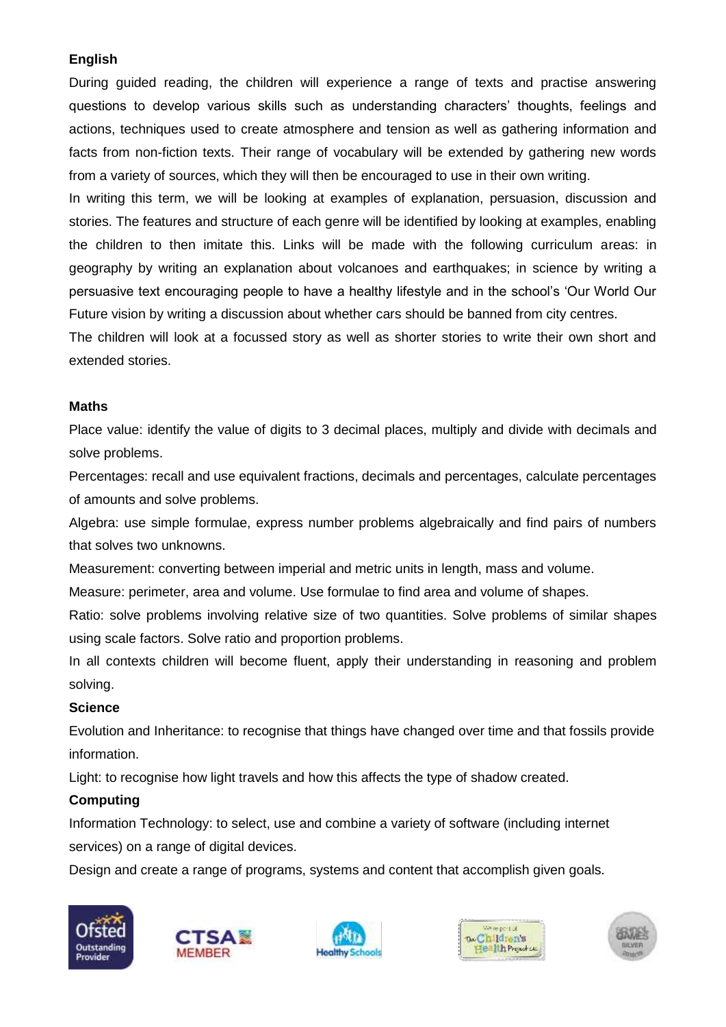### **English**

During guided reading, the children will experience a range of texts and practise answering questions to develop various skills such as understanding characters' thoughts, feelings and actions, techniques used to create atmosphere and tension as well as gathering information and facts from non-fiction texts. Their range of vocabulary will be extended by gathering new words from a variety of sources, which they will then be encouraged to use in their own writing.

In writing this term, we will be looking at examples of explanation, persuasion, discussion and stories. The features and structure of each genre will be identified by looking at examples, enabling the children to then imitate this. Links will be made with the following curriculum areas: in geography by writing an explanation about volcanoes and earthquakes; in science by writing a persuasive text encouraging people to have a healthy lifestyle and in the school's 'Our World Our Future vision by writing a discussion about whether cars should be banned from city centres.

The children will look at a focussed story as well as shorter stories to write their own short and extended stories.

### **Maths**

Place value: identify the value of digits to 3 decimal places, multiply and divide with decimals and solve problems.

Percentages: recall and use equivalent fractions, decimals and percentages, calculate percentages of amounts and solve problems.

Algebra: use simple formulae, express number problems algebraically and find pairs of numbers that solves two unknowns.

Measurement: converting between imperial and metric units in length, mass and volume.

Measure: perimeter, area and volume. Use formulae to find area and volume of shapes.

Ratio: solve problems involving relative size of two quantities. Solve problems of similar shapes using scale factors. Solve ratio and proportion problems.

In all contexts children will become fluent, apply their understanding in reasoning and problem solving.

### **Science**

Evolution and Inheritance: to recognise that things have changed over time and that fossils provide information.

Light: to recognise how light travels and how this affects the type of shadow created.

### **Computing**

Information Technology: to select, use and combine a variety of software (including internet services) on a range of digital devices.

Design and create a range of programs, systems and content that accomplish given goals.









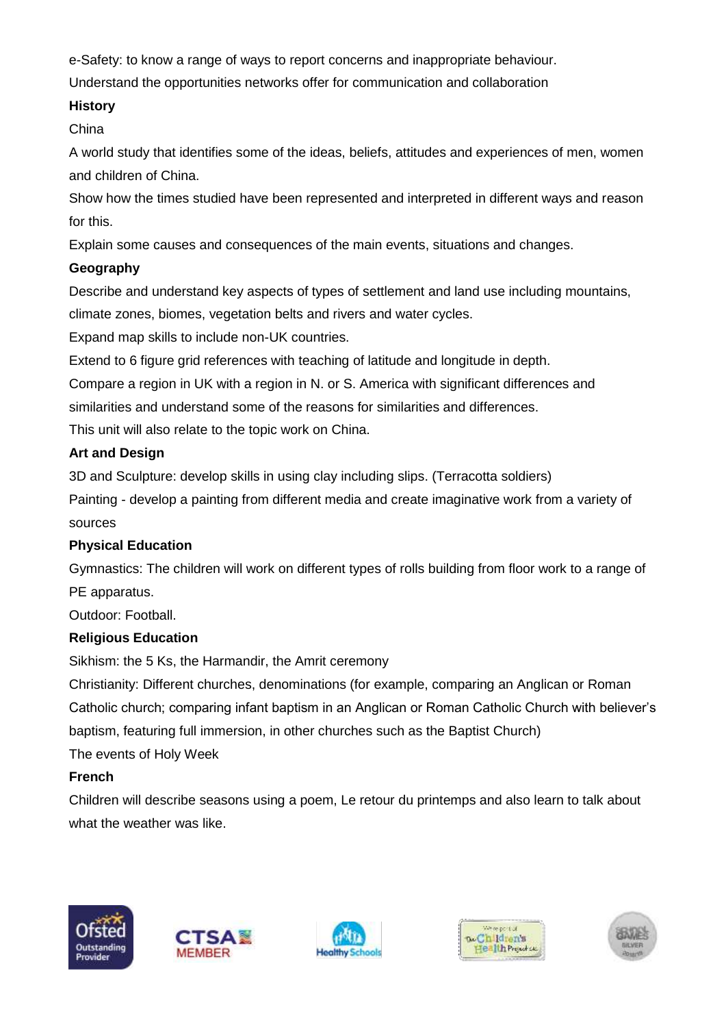e-Safety: to know a range of ways to report concerns and inappropriate behaviour.

Understand the opportunities networks offer for communication and collaboration

### **History**

China

A world study that identifies some of the ideas, beliefs, attitudes and experiences of men, women and children of China.

Show how the times studied have been represented and interpreted in different ways and reason for this.

Explain some causes and consequences of the main events, situations and changes.

## **Geography**

Describe and understand key aspects of types of settlement and land use including mountains, climate zones, biomes, vegetation belts and rivers and water cycles.

Expand map skills to include non-UK countries.

Extend to 6 figure grid references with teaching of latitude and longitude in depth.

Compare a region in UK with a region in N. or S. America with significant differences and

similarities and understand some of the reasons for similarities and differences.

This unit will also relate to the topic work on China.

## **Art and Design**

3D and Sculpture: develop skills in using clay including slips. (Terracotta soldiers)

Painting - develop a painting from different media and create imaginative work from a variety of sources

## **Physical Education**

Gymnastics: The children will work on different types of rolls building from floor work to a range of PE apparatus.

Outdoor: Football.

## **Religious Education**

Sikhism: the 5 Ks, the Harmandir, the Amrit ceremony

Christianity: Different churches, denominations (for example, comparing an Anglican or Roman Catholic church; comparing infant baptism in an Anglican or Roman Catholic Church with believer's baptism, featuring full immersion, in other churches such as the Baptist Church)

The events of Holy Week

## **French**

Children will describe seasons using a poem, Le retour du printemps and also learn to talk about what the weather was like.









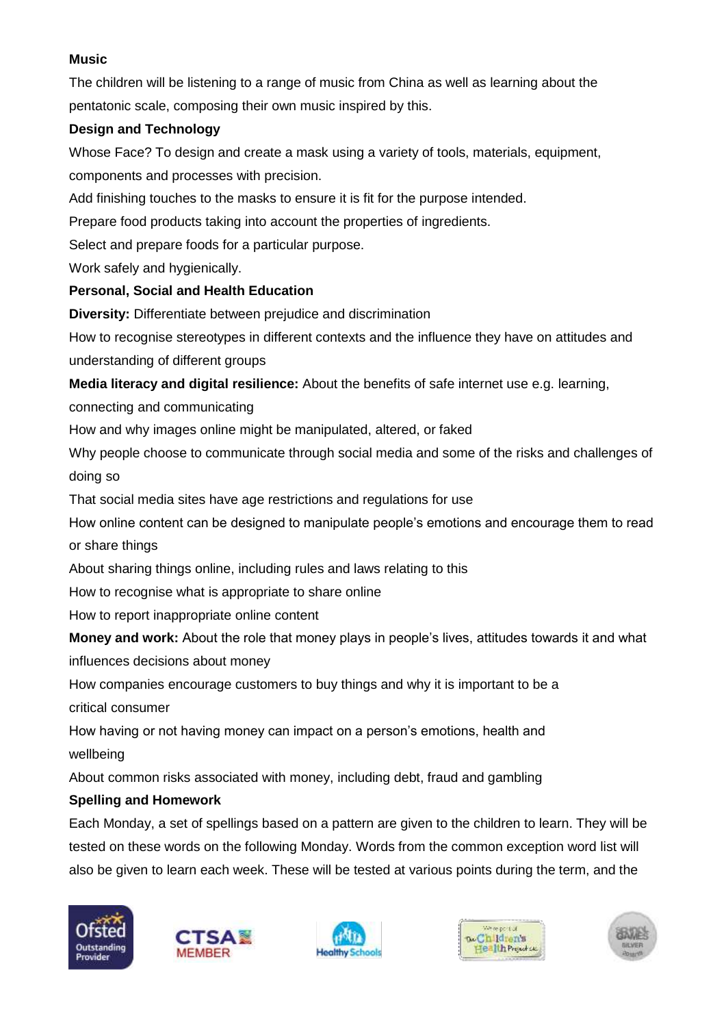### **Music**

The children will be listening to a range of music from China as well as learning about the pentatonic scale, composing their own music inspired by this.

### **Design and Technology**

Whose Face? To design and create a mask using a variety of tools, materials, equipment, components and processes with precision.

Add finishing touches to the masks to ensure it is fit for the purpose intended.

Prepare food products taking into account the properties of ingredients.

Select and prepare foods for a particular purpose.

Work safely and hygienically.

# **Personal, Social and Health Education**

**Diversity:** Differentiate between prejudice and discrimination

How to recognise stereotypes in different contexts and the influence they have on attitudes and understanding of different groups

**Media literacy and digital resilience:** About the benefits of safe internet use e.g. learning,

connecting and communicating

How and why images online might be manipulated, altered, or faked

Why people choose to communicate through social media and some of the risks and challenges of doing so

That social media sites have age restrictions and regulations for use

How online content can be designed to manipulate people's emotions and encourage them to read or share things

About sharing things online, including rules and laws relating to this

How to recognise what is appropriate to share online

How to report inappropriate online content

**Money and work:** About the role that money plays in people's lives, attitudes towards it and what influences decisions about money

How companies encourage customers to buy things and why it is important to be a critical consumer

How having or not having money can impact on a person's emotions, health and wellbeing

About common risks associated with money, including debt, fraud and gambling

# **Spelling and Homework**

Each Monday, a set of spellings based on a pattern are given to the children to learn. They will be tested on these words on the following Monday. Words from the common exception word list will also be given to learn each week. These will be tested at various points during the term, and the